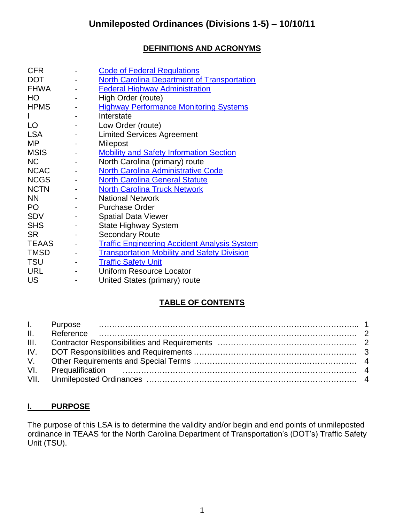## **DEFINITIONS AND ACRONYMS**

| <b>CFR</b>   | <b>Code of Federal Regulations</b>                  |
|--------------|-----------------------------------------------------|
| <b>DOT</b>   | <b>North Carolina Department of Transportation</b>  |
| <b>FHWA</b>  | <b>Federal Highway Administration</b>               |
| HO           | High Order (route)                                  |
| <b>HPMS</b>  | <b>Highway Performance Monitoring Systems</b>       |
|              | Interstate                                          |
| LO           | Low Order (route)                                   |
| <b>LSA</b>   | <b>Limited Services Agreement</b>                   |
| MP           | Milepost                                            |
| <b>MSIS</b>  | <b>Mobility and Safety Information Section</b>      |
| <b>NC</b>    | North Carolina (primary) route                      |
| <b>NCAC</b>  | <b>North Carolina Administrative Code</b>           |
| <b>NCGS</b>  | <b>North Carolina General Statute</b>               |
| <b>NCTN</b>  | <b>North Carolina Truck Network</b>                 |
| <b>NN</b>    | <b>National Network</b>                             |
| PO           | <b>Purchase Order</b>                               |
| <b>SDV</b>   | <b>Spatial Data Viewer</b>                          |
| <b>SHS</b>   | <b>State Highway System</b>                         |
| <b>SR</b>    | <b>Secondary Route</b>                              |
| <b>TEAAS</b> | <b>Traffic Engineering Accident Analysis System</b> |
| <b>TMSD</b>  | <b>Transportation Mobility and Safety Division</b>  |
| <b>TSU</b>   | <b>Traffic Safety Unit</b>                          |
| <b>URL</b>   | <b>Uniform Resource Locator</b>                     |
| <b>US</b>    | United States (primary) route                       |

## **TABLE OF CONTENTS**

### **I. PURPOSE**

The purpose of this LSA is to determine the validity and/or begin and end points of unmileposted ordinance in TEAAS for the North Carolina Department of Transportation's (DOT's) Traffic Safety Unit (TSU).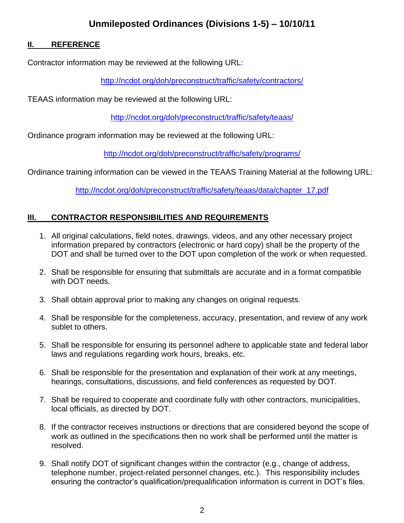## **Unmileposted Ordinances (Divisions 1-5) – 10/10/11**

#### **II. REFERENCE**

Contractor information may be reviewed at the following URL:

<http://ncdot.org/doh/preconstruct/traffic/safety/contractors/>

TEAAS information may be reviewed at the following URL:

<http://ncdot.org/doh/preconstruct/traffic/safety/teaas/>

Ordinance program information may be reviewed at the following URL:

<http://ncdot.org/doh/preconstruct/traffic/safety/programs/>

Ordinance training information can be viewed in the TEAAS Training Material at the following URL:

[http://ncdot.org/doh/preconstruct/traffic/safety/teaas/data/chapter\\_17.pdf](http://ncdot.org/doh/preconstruct/traffic/safety/teaas/data/chapter_17.pdf)

### **III. CONTRACTOR RESPONSIBILITIES AND REQUIREMENTS**

- 1. All original calculations, field notes, drawings, videos, and any other necessary project information prepared by contractors (electronic or hard copy) shall be the property of the DOT and shall be turned over to the DOT upon completion of the work or when requested.
- 2. Shall be responsible for ensuring that submittals are accurate and in a format compatible with DOT needs.
- 3. Shall obtain approval prior to making any changes on original requests.
- 4. Shall be responsible for the completeness, accuracy, presentation, and review of any work sublet to others.
- 5. Shall be responsible for ensuring its personnel adhere to applicable state and federal labor laws and regulations regarding work hours, breaks, etc.
- 6. Shall be responsible for the presentation and explanation of their work at any meetings, hearings, consultations, discussions, and field conferences as requested by DOT.
- 7. Shall be required to cooperate and coordinate fully with other contractors, municipalities, local officials, as directed by DOT.
- 8. If the contractor receives instructions or directions that are considered beyond the scope of work as outlined in the specifications then no work shall be performed until the matter is resolved.
- 9. Shall notify DOT of significant changes within the contractor (e.g., change of address, telephone number, project-related personnel changes, etc.). This responsibility includes ensuring the contractor's qualification/prequalification information is current in DOT's files.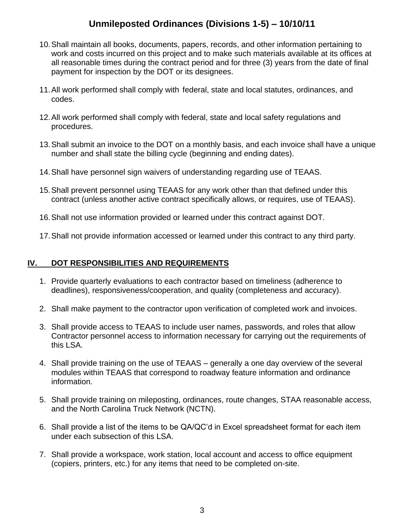# **Unmileposted Ordinances (Divisions 1-5) – 10/10/11**

- 10.Shall maintain all books, documents, papers, records, and other information pertaining to work and costs incurred on this project and to make such materials available at its offices at all reasonable times during the contract period and for three (3) years from the date of final payment for inspection by the DOT or its designees.
- 11.All work performed shall comply with federal, state and local statutes, ordinances, and codes.
- 12.All work performed shall comply with federal, state and local safety regulations and procedures.
- 13.Shall submit an invoice to the DOT on a monthly basis, and each invoice shall have a unique number and shall state the billing cycle (beginning and ending dates).
- 14.Shall have personnel sign waivers of understanding regarding use of TEAAS.
- 15.Shall prevent personnel using TEAAS for any work other than that defined under this contract (unless another active contract specifically allows, or requires, use of TEAAS).
- 16.Shall not use information provided or learned under this contract against DOT.
- 17.Shall not provide information accessed or learned under this contract to any third party.

### **IV. DOT RESPONSIBILITIES AND REQUIREMENTS**

- 1. Provide quarterly evaluations to each contractor based on timeliness (adherence to deadlines), responsiveness/cooperation, and quality (completeness and accuracy).
- 2. Shall make payment to the contractor upon verification of completed work and invoices.
- 3. Shall provide access to TEAAS to include user names, passwords, and roles that allow Contractor personnel access to information necessary for carrying out the requirements of this LSA.
- 4. Shall provide training on the use of TEAAS generally a one day overview of the several modules within TEAAS that correspond to roadway feature information and ordinance information.
- 5. Shall provide training on mileposting, ordinances, route changes, STAA reasonable access, and the North Carolina Truck Network (NCTN).
- 6. Shall provide a list of the items to be QA/QC'd in Excel spreadsheet format for each item under each subsection of this LSA.
- 7. Shall provide a workspace, work station, local account and access to office equipment (copiers, printers, etc.) for any items that need to be completed on-site.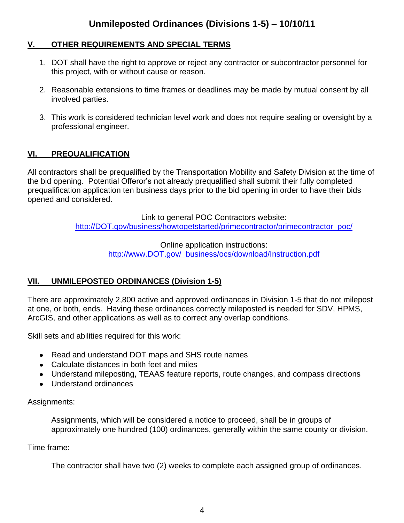### **V. OTHER REQUIREMENTS AND SPECIAL TERMS**

- 1. DOT shall have the right to approve or reject any contractor or subcontractor personnel for this project, with or without cause or reason.
- 2. Reasonable extensions to time frames or deadlines may be made by mutual consent by all involved parties.
- 3. This work is considered technician level work and does not require sealing or oversight by a professional engineer.

### **VI. PREQUALIFICATION**

All contractors shall be prequalified by the Transportation Mobility and Safety Division at the time of the bid opening. Potential Offeror's not already prequalified shall submit their fully completed prequalification application ten business days prior to the bid opening in order to have their bids opened and considered.

> Link to general POC Contractors website: [http://DOT.gov/business/howtogetstarted/primecontractor/primecontractor\\_poc/](http://ncdot.gov/business/howtogetstarted/primecontractor/primecontractor_poc/)

> > Online application instructions: [http://www.DOT.gov/ business/ocs/download/Instruction.pdf](http://www.ncdot.gov/business/ocs/download/Instruction.pdf)

### **VII. UNMILEPOSTED ORDINANCES (Division 1-5)**

There are approximately 2,800 active and approved ordinances in Division 1-5 that do not milepost at one, or both, ends. Having these ordinances correctly mileposted is needed for SDV, HPMS, ArcGIS, and other applications as well as to correct any overlap conditions.

Skill sets and abilities required for this work:

- Read and understand DOT maps and SHS route names
- Calculate distances in both feet and miles
- Understand mileposting, TEAAS feature reports, route changes, and compass directions
- Understand ordinances

Assignments:

Assignments, which will be considered a notice to proceed, shall be in groups of approximately one hundred (100) ordinances, generally within the same county or division.

Time frame:

The contractor shall have two (2) weeks to complete each assigned group of ordinances.